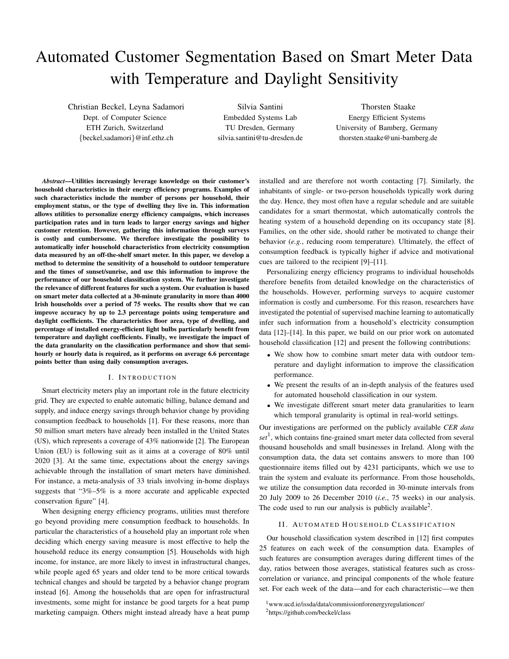# Automated Customer Segmentation Based on Smart Meter Data with Temperature and Daylight Sensitivity

Christian Beckel, Leyna Sadamori Dept. of Computer Science ETH Zurich, Switzerland {beckel,sadamori}@inf.ethz.ch

Silvia Santini Embedded Systems Lab TU Dresden, Germany silvia.santini@tu-dresden.de

Thorsten Staake Energy Efficient Systems University of Bamberg, Germany thorsten.staake@uni-bamberg.de

*Abstract*—Utilities increasingly leverage knowledge on their customer's household characteristics in their energy efficiency programs. Examples of such characteristics include the number of persons per household, their employment status, or the type of dwelling they live in. This information allows utilities to personalize energy efficiency campaigns, which increases participation rates and in turn leads to larger energy savings and higher customer retention. However, gathering this information through surveys is costly and cumbersome. We therefore investigate the possibility to automatically infer household characteristics from electricity consumption data measured by an off-the-shelf smart meter. In this paper, we develop a method to determine the sensitivity of a household to outdoor temperature and the times of sunset/sunrise, and use this information to improve the performance of our household classification system. We further investigate the relevance of different features for such a system. Our evaluation is based on smart meter data collected at a 30-minute granularity in more than 4000 Irish households over a period of 75 weeks. The results show that we can improve accuracy by up to 2.3 percentage points using temperature and daylight coefficients. The characteristics floor area, type of dwelling, and percentage of installed energy-efficient light bulbs particularly benefit from temperature and daylight coefficients. Finally, we investigate the impact of the data granularity on the classification performance and show that semihourly or hourly data is required, as it performs on average 6.6 percentage points better than using daily consumption averages.

# I. INTRODUCTION

Smart electricity meters play an important role in the future electricity grid. They are expected to enable automatic billing, balance demand and supply, and induce energy savings through behavior change by providing consumption feedback to households [1]. For these reasons, more than 50 million smart meters have already been installed in the United States (US), which represents a coverage of 43% nationwide [2]. The European Union (EU) is following suit as it aims at a coverage of 80% until 2020 [3]. At the same time, expectations about the energy savings achievable through the installation of smart meters have diminished. For instance, a meta-analysis of 33 trials involving in-home displays suggests that "3%–5% is a more accurate and applicable expected conservation figure" [4].

When designing energy efficiency programs, utilities must therefore go beyond providing mere consumption feedback to households. In particular the characteristics of a household play an important role when deciding which energy saving measure is most effective to help the household reduce its energy consumption [5]. Households with high income, for instance, are more likely to invest in infrastructural changes, while people aged 65 years and older tend to be more critical towards technical changes and should be targeted by a behavior change program instead [6]. Among the households that are open for infrastructural investments, some might for instance be good targets for a heat pump marketing campaign. Others might instead already have a heat pump

installed and are therefore not worth contacting [7]. Similarly, the inhabitants of single- or two-person households typically work during the day. Hence, they most often have a regular schedule and are suitable candidates for a smart thermostat, which automatically controls the heating system of a household depending on its occupancy state [8]. Families, on the other side, should rather be motivated to change their behavior (*e.g.*, reducing room temperature). Ultimately, the effect of consumption feedback is typically higher if advice and motivational cues are tailored to the recipient [9]–[11].

Personalizing energy efficiency programs to individual households therefore benefits from detailed knowledge on the characteristics of the households. However, performing surveys to acquire customer information is costly and cumbersome. For this reason, researchers have investigated the potential of supervised machine learning to automatically infer such information from a household's electricity consumption data [12]–[14]. In this paper, we build on our prior work on automated household classification [12] and present the following contributions:

- We show how to combine smart meter data with outdoor temperature and daylight information to improve the classification performance.
- We present the results of an in-depth analysis of the features used for automated household classification in our system.
- We investigate different smart meter data granularities to learn which temporal granularity is optimal in real-world settings.

Our investigations are performed on the publicly available *CER data set*<sup>1</sup> , which contains fine-grained smart meter data collected from several thousand households and small businesses in Ireland. Along with the consumption data, the data set contains answers to more than 100 questionnaire items filled out by 4231 participants, which we use to train the system and evaluate its performance. From those households, we utilize the consumption data recorded in 30-minute intervals from 20 July 2009 to 26 December 2010 (*i.e.*, 75 weeks) in our analysis. The code used to run our analysis is publicly available<sup>2</sup>.

# II. AUTOMATED HOUSEHOLD CLASSIFICATION

Our household classification system described in [12] first computes 25 features on each week of the consumption data. Examples of such features are consumption averages during different times of the day, ratios between those averages, statistical features such as crosscorrelation or variance, and principal components of the whole feature set. For each week of the data—and for each characteristic—we then

<sup>1</sup>www.ucd.ie/issda/data/commissionforenergyregulationcer/ <sup>2</sup>https://github.com/beckel/class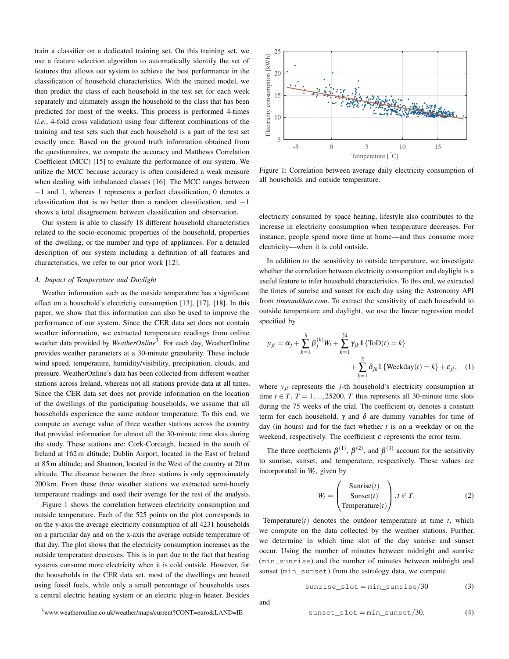train a classifier on a dedicated training set. On this training set, we use a feature selection algorithm to automatically identify the set of features that allows our system to achieve the best performance in the classification of household characteristics. With the trained model, we then predict the class of each household in the test set for each week separately and ultimately assign the household to the class that has been predicted for most of the weeks. This process is performed 4-times (*i.e.*, 4-fold cross validation) using four different combinations of the training and test sets such that each household is a part of the test set exactly once. Based on the ground truth information obtained from the questionnaires, we compute the accuracy and Matthews Correlation Coefficient (MCC) [15] to evaluate the performance of our system. We utilize the MCC because accuracy is often considered a weak measure when dealing with imbalanced classes [16]. The MCC ranges between −1 and 1, whereas 1 represents a perfect classification, 0 denotes a classification that is no better than a random classification, and  $-1$ shows a total disagreement between classification and observation.

Our system is able to classify 18 different household characteristics related to the socio-economic properties of the household, properties of the dwelling, or the number and type of appliances. For a detailed description of our system including a definition of all features and characteristics, we refer to our prior work [12].

## *A. Impact of Temperature and Daylight*

Weather information such as the outside temperature has a significant effect on a household's electricity consumption [13], [17], [18]. In this paper, we show that this information can also be used to improve the performance of our system. Since the CER data set does not contain weather information, we extracted temperature readings from online weather data provided by *WeatherOnline*<sup>3</sup>. For each day, WeatherOnline provides weather parameters at a 30-minute granularity. These include wind speed, temperature, humidity/visibility, precipitation, clouds, and pressure. WeatherOnline's data has been collected from different weather stations across Ireland, whereas not all stations provide data at all times. Since the CER data set does not provide information on the location of the dwellings of the participating households, we assume that all households experience the same outdoor temperature. To this end, we compute an average value of three weather stations across the country that provided information for almost all the 30-minute time slots during the study. These stations are: Cork-Corcaigh, located in the south of Ireland at 162 m altitude; Dublin Airport, located in the East of Ireland at 85 m altitude; and Shannon, located in the West of the country at 20 m altitude. The distance between the three stations is only approximately 200 km. From these three weather stations we extracted semi-hourly temperature readings and used their average for the rest of the analysis.

Figure 1 shows the correlation between electricity consumption and outside temperature. Each of the 525 points on the plot corresponds to on the y-axis the average electricity consumption of all 4231 households on a particular day and on the x-axis the average outside temperature of that day. The plot shows that the electricity consumption increases as the outside temperature decreases. This is in part due to the fact that heating systems consume more electricity when it is cold outside. However, for the households in the CER data set, most of the dwellings are heated using fossil fuels, while only a small percentage of households uses a central electric heating system or an electric plug-in heater. Besides



Figure 1: Correlation between average daily electricity consumption of all households and outside temperature.

electricity consumed by space heating, lifestyle also contributes to the increase in electricity consumption when temperature decreases. For instance, people spend more time at home—and thus consume more electricity—when it is cold outside.

In addition to the sensitivity to outside temperature, we investigate whether the correlation between electricity consumption and daylight is a useful feature to infer household characteristics. To this end, we extracted the times of sunrise and sunset for each day using the Astronomy API from *timeanddate.com*. To extract the sensitivity of each household to outside temperature and daylight, we use the linear regression model specified by

$$
y_{jt} = \alpha_j + \sum_{k=1}^3 \beta_j^{(k)} W_t + \sum_{k=1}^{24} \gamma_{jk} \mathbb{1} \{ \text{ToD}(t) = k \}
$$

$$
+ \sum_{k=1}^2 \delta_{jk} \mathbb{1} \{ \text{Weekday}(t) = k \} + \varepsilon_{jt}, \quad (1)
$$

where  $y_{it}$  represents the *j*-th household's electricity consumption at time  $t \in T$ ,  $T = 1, \ldots, 25200$ . *T* thus represents all 30-minute time slots during the 75 weeks of the trial. The coefficient  $\alpha_i$  denotes a constant term for each household.  $\gamma$  and  $\delta$  are dummy variables for time of day (in hours) and for the fact whether *t* is on a weekday or on the weekend, respectively. The coefficient  $\varepsilon$  represents the error term.

The three coefficients  $\beta^{(1)}$ ,  $\beta^{(2)}$ , and  $\beta^{(3)}$  account for the sensitivity to sunrise, sunset, and temperature, respectively. These values are incorporated in  $W_t$ , given by

$$
W_t = \begin{pmatrix} \text{Sunrise}(t) \\ \text{Sunset}(t) \\ \text{Temperature}(t) \end{pmatrix}, t \in T.
$$
 (2)

Temperature $(t)$  denotes the outdoor temperature at time  $t$ , which we compute on the data collected by the weather stations. Further, we determine in which time slot of the day sunrise and sunset occur. Using the number of minutes between midnight and sunrise (min\_sunrise) and the number of minutes between midnight and sunset (min\_sunset) from the astrology data, we compute

$$
sunrise\_slot = min\_sunrise/30 \tag{3}
$$

<sup>3</sup>www.weatheronline.co.uk/weather/maps/current?CONT=euro&LAND=IE

and

$$
sunset\_slot = min\_sunset/30.
$$
 (4)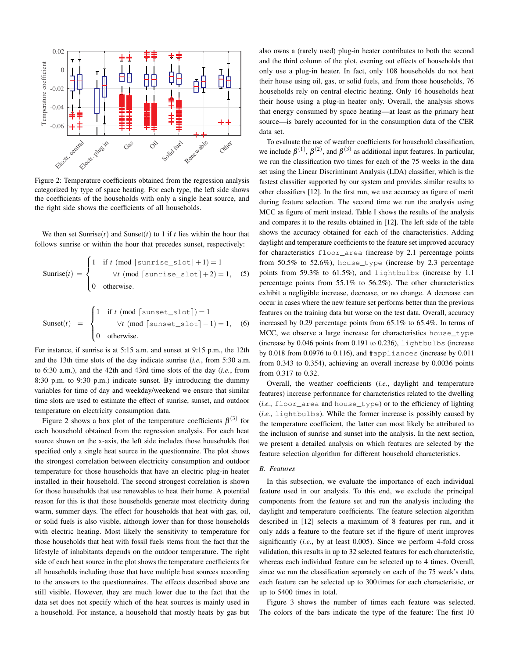

Figure 2: Temperature coefficients obtained from the regression analysis categorized by type of space heating. For each type, the left side shows the coefficients of the households with only a single heat source, and the right side shows the coefficients of all households.

We then set Sunrise $(t)$  and Sunset $(t)$  to 1 if  $t$  lies within the hour that follows sunrise or within the hour that precedes sunset, respectively:

Sumrise(t) =

\n
$$
\begin{cases}\n1 & \text{if } t \text{ (mod } \lceil \text{sunrise\_slot} \rceil + 1) = 1 \\
\forall t \text{ (mod } \lceil \text{sunrise\_slot} \rceil + 2) = 1, \\
0 & \text{otherwise.}\n\end{cases}
$$
\n(5)

$$
\text{Sunset}(t) = \begin{cases} 1 & \text{if } t \text{ (mod } \lceil \text{sunset\_slot} \rceil) = 1 \\ \forall t \text{ (mod } \lceil \text{sunset\_slot} \rceil - 1) = 1, \\ 0 & \text{otherwise.} \end{cases} \tag{6}
$$

For instance, if sunrise is at 5:15 a.m. and sunset at 9:15 p.m., the 12th and the 13th time slots of the day indicate sunrise (*i.e.*, from 5:30 a.m. to 6:30 a.m.), and the 42th and 43rd time slots of the day (*i.e.*, from 8:30 p.m. to 9:30 p.m.) indicate sunset. By introducing the dummy variables for time of day and weekday/weekend we ensure that similar time slots are used to estimate the effect of sunrise, sunset, and outdoor temperature on electricity consumption data.

Figure 2 shows a box plot of the temperature coefficients  $\beta^{(3)}$  for each household obtained from the regression analysis. For each heat source shown on the x-axis, the left side includes those households that specified only a single heat source in the questionnaire. The plot shows the strongest correlation between electricity consumption and outdoor temperature for those households that have an electric plug-in heater installed in their household. The second strongest correlation is shown for those households that use renewables to heat their home. A potential reason for this is that those households generate most electricity during warm, summer days. The effect for households that heat with gas, oil, or solid fuels is also visible, although lower than for those households with electric heating. Most likely the sensitivity to temperature for those households that heat with fossil fuels stems from the fact that the lifestyle of inhabitants depends on the outdoor temperature. The right side of each heat source in the plot shows the temperature coefficients for all households including those that have multiple heat sources according to the answers to the questionnaires. The effects described above are still visible. However, they are much lower due to the fact that the data set does not specify which of the heat sources is mainly used in a household. For instance, a household that mostly heats by gas but

also owns a (rarely used) plug-in heater contributes to both the second and the third column of the plot, evening out effects of households that only use a plug-in heater. In fact, only 108 households do not heat their house using oil, gas, or solid fuels, and from those households, 76 households rely on central electric heating. Only 16 households heat their house using a plug-in heater only. Overall, the analysis shows that energy consumed by space heating—at least as the primary heat source—is barely accounted for in the consumption data of the CER data set.

To evaluate the use of weather coefficients for household classification, we include  $\beta^{(1)}$ ,  $\beta^{(2)}$ , and  $\beta^{(3)}$  as additional input features. In particular, we run the classification two times for each of the 75 weeks in the data set using the Linear Discriminant Analysis (LDA) classifier, which is the fastest classifier supported by our system and provides similar results to other classifiers [12]. In the first run, we use accuracy as figure of merit during feature selection. The second time we run the analysis using MCC as figure of merit instead. Table I shows the results of the analysis and compares it to the results obtained in [12]. The left side of the table shows the accuracy obtained for each of the characteristics. Adding daylight and temperature coefficients to the feature set improved accuracy for characteristics floor\_area (increase by 2.1 percentage points from 50.5% to 52.6%), house\_type (increase by 2.3 percentage points from 59.3% to 61.5%), and lightbulbs (increase by 1.1 percentage points from 55.1% to 56.2%). The other characteristics exhibit a negligible increase, decrease, or no change. A decrease can occur in cases where the new feature set performs better than the previous features on the training data but worse on the test data. Overall, accuracy increased by 0.29 percentage points from 65.1% to 65.4%. In terms of MCC, we observe a large increase for characteristics house\_type (increase by 0.046 points from 0.191 to 0.236), lightbulbs (increase by 0.018 from 0.0976 to 0.116), and #appliances (increase by 0.011 from 0.343 to 0.354), achieving an overall increase by 0.0036 points from 0.317 to 0.32.

Overall, the weather coefficients (*i.e.*, daylight and temperature features) increase performance for characteristics related to the dwelling (*i.e.*, floor\_area and house\_type) or to the efficiency of lighting (*i.e.*, lightbulbs). While the former increase is possibly caused by the temperature coefficient, the latter can most likely be attributed to the inclusion of sunrise and sunset into the analysis. In the next section, we present a detailed analysis on which features are selected by the feature selection algorithm for different household characteristics.

## *B. Features*

In this subsection, we evaluate the importance of each individual feature used in our analysis. To this end, we exclude the principal components from the feature set and run the analysis including the daylight and temperature coefficients. The feature selection algorithm described in [12] selects a maximum of 8 features per run, and it only adds a feature to the feature set if the figure of merit improves significantly (*i.e.*, by at least 0.005). Since we perform 4-fold cross validation, this results in up to 32 selected features for each characteristic, whereas each individual feature can be selected up to 4 times. Overall, since we run the classification separately on each of the 75 week's data, each feature can be selected up to 300 times for each characteristic, or up to 5400 times in total.

Figure 3 shows the number of times each feature was selected. The colors of the bars indicate the type of the feature: The first 10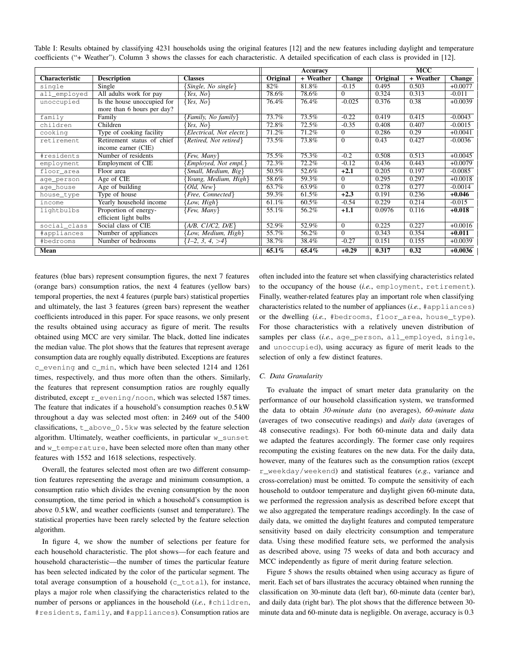|                |                             |                          | Accuracy |           |                | <b>MCC</b> |           |               |
|----------------|-----------------------------|--------------------------|----------|-----------|----------------|------------|-----------|---------------|
| Characteristic | <b>Description</b>          | <b>Classes</b>           | Original | + Weather | <b>Change</b>  | Original   | + Weather | <b>Change</b> |
| single         | Single                      | Single, No single        | 82%      | 81.8%     | $-0.15$        | 0.495      | 0.503     | $+0.0077$     |
| all_employed   | All adults work for pay     | Yes, $No$ }              | 78.6%    | 78.6%     | $\Omega$       | 0.324      | 0.313     | $-0.011$      |
| unoccupied     | Is the house unoccupied for | Yes, $No$ }              | 76.4%    | 76.4%     | $-0.025$       | 0.376      | 0.38      | $+0.0039$     |
|                | more than 6 hours per day?  |                          |          |           |                |            |           |               |
| family         | Family                      | Family, No family }      | 73.7%    | 73.5%     | $-0.22$        | 0.419      | 0.415     | $-0.0043$     |
| children       | Children                    | Yes, $No$ }              | 72.8%    | 72.5%     | $-0.35$        | 0.408      | 0.407     | $-0.0015$     |
| cooking        | Type of cooking facility    | Electrical, Not electr.} | 71.2%    | 71.2%     | $\overline{0}$ | 0.286      | 0.29      | $+0.0041$     |
| retirement     | Retirement status of chief  | Retired, Not retired     | 73.5%    | 73.8%     | $\Omega$       | 0.43       | 0.427     | $-0.0036$     |
|                | income earner (CIE)         |                          |          |           |                |            |           |               |
| #residents     | Number of residents         | Few, Many                | 75.5%    | 75.3%     | $-0.2$         | 0.508      | 0.513     | $+0.0045$     |
| employment     | Employment of CIE           | Employed, Not empl.}     | 72.3%    | 72.2%     | $-0.12$        | 0.436      | 0.443     | $+0.0079$     |
| floor area     | Floor area                  | Small, Medium, Big}      | 50.5%    | 52.6%     | $+2.1$         | 0.205      | 0.197     | $-0.0085$     |
| age_person     | Age of CIE                  | Young, Medium, High      | 58.6%    | 59.3%     | $\overline{0}$ | 0.295      | 0.297     | $+0.0018$     |
| age_house      | Age of building             | Old, New?                | 63.7%    | 63.9%     | $\Omega$       | 0.278      | 0.277     | $-0.0014$     |
| house_type     | Type of house               | Free, Connected}         | 59.3%    | 61.5%     | $+2.3$         | 0.191      | 0.236     | $+0.046$      |
| income         | Yearly household income     | Low, High                | 61.1%    | 60.5%     | $-0.54$        | 0.229      | 0.214     | $-0.015$      |
| lightbulbs     | Proportion of energy-       | [Few, Many]              | 55.1%    | 56.2%     | $+1.1$         | 0.0976     | 0.116     | $+0.018$      |
|                | efficient light bulbs       |                          |          |           |                |            |           |               |
| social class   | Social class of CIE         | ${A/B, C1/C2, D/E}$      | 52.9%    | 52.9%     | $\overline{0}$ | 0.225      | 0.227     | $+0.0016$     |
| #appliances    | Number of appliances        | Low, Medium, High}       | 55.7%    | 56.2%     | $\Omega$       | 0.343      | 0.354     | $+0.011$      |
| #bedrooms      | Number of bedrooms          | $\{1-2, 3, 4, 3\}$       | 38.7%    | 38.4%     | $-0.27$        | 0.151      | 0.155     | $+0.0039$     |
| Mean           |                             |                          | 65.1%    | 65.4%     | $+0.29$        | 0.317      | 0.32      | $+0.0036$     |

Table I: Results obtained by classifying 4231 households using the original features [12] and the new features including daylight and temperature coefficients ("+ Weather"). Column 3 shows the classes for each characteristic. A detailed specification of each class is provided in [12].

features (blue bars) represent consumption figures, the next 7 features (orange bars) consumption ratios, the next 4 features (yellow bars) temporal properties, the next 4 features (purple bars) statistical properties and ultimately, the last 3 features (green bars) represent the weather coefficients introduced in this paper. For space reasons, we only present the results obtained using accuracy as figure of merit. The results obtained using MCC are very similar. The black, dotted line indicates the median value. The plot shows that the features that represent average consumption data are roughly equally distributed. Exceptions are features c\_evening and c\_min, which have been selected 1214 and 1261 times, respectively, and thus more often than the others. Similarly, the features that represent consumption ratios are roughly equally distributed, except r\_evening/noon, which was selected 1587 times. The feature that indicates if a household's consumption reaches 0.5 kW throughout a day was selected most often: in 2469 out of the 5400 classifications, t\_above\_0.5kw was selected by the feature selection algorithm. Ultimately, weather coefficients, in particular w\_sunset and w\_temperature, have been selected more often than many other features with 1552 and 1618 selections, respectively.

Overall, the features selected most often are two different consumption features representing the average and minimum consumption, a consumption ratio which divides the evening consumption by the noon consumption, the time period in which a household's consumption is above 0.5 kW, and weather coefficients (sunset and temperature). The statistical properties have been rarely selected by the feature selection algorithm.

In figure 4, we show the number of selections per feature for each household characteristic. The plot shows—for each feature and household characteristic—the number of times the particular feature has been selected indicated by the color of the particular segment. The total average consumption of a household (c\_total), for instance, plays a major role when classifying the characteristics related to the number of persons or appliances in the household (*i.e.*, #children, #residents, family, and #appliances). Consumption ratios are

often included into the feature set when classifying characteristics related to the occupancy of the house (*i.e.*, employment, retirement). Finally, weather-related features play an important role when classifying characteristics related to the number of appliances (*i.e.*, #appliances) or the dwelling (*i.e.*, #bedrooms, floor\_area, house\_type). For those characteristics with a relatively uneven distribution of samples per class (*i.e.*, age\_person, all\_employed, single, and unoccupied), using accuracy as figure of merit leads to the selection of only a few distinct features.

# *C. Data Granularity*

To evaluate the impact of smart meter data granularity on the performance of our household classification system, we transformed the data to obtain *30-minute data* (no averages), *60-minute data* (averages of two consecutive readings) and *daily data* (averages of 48 consecutive readings). For both 60-minute data and daily data we adapted the features accordingly. The former case only requires recomputing the existing features on the new data. For the daily data, however, many of the features such as the consumption ratios (except r\_weekday/weekend) and statistical features (*e.g.*, variance and cross-correlation) must be omitted. To compute the sensitivity of each household to outdoor temperature and daylight given 60-minute data, we performed the regression analysis as described before except that we also aggregated the temperature readings accordingly. In the case of daily data, we omitted the daylight features and computed temperature sensitivity based on daily electricity consumption and temperature data. Using these modified feature sets, we performed the analysis as described above, using 75 weeks of data and both accuracy and MCC independently as figure of merit during feature selection.

Figure 5 shows the results obtained when using accuracy as figure of merit. Each set of bars illustrates the accuracy obtained when running the classification on 30-minute data (left bar), 60-minute data (center bar), and daily data (right bar). The plot shows that the difference between 30 minute data and 60-minute data is negligible. On average, accuracy is 0.3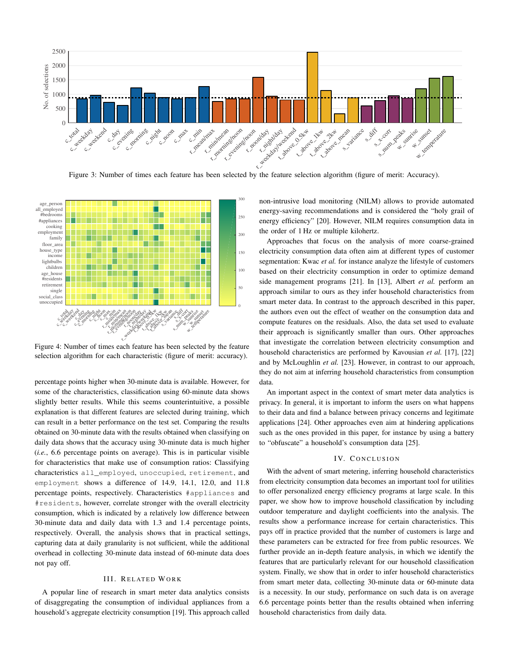

Figure 3: Number of times each feature has been selected by the feature selection algorithm (figure of merit: Accuracy).



Figure 4: Number of times each feature has been selected by the feature selection algorithm for each characteristic (figure of merit: accuracy).

percentage points higher when 30-minute data is available. However, for some of the characteristics, classification using 60-minute data shows slightly better results. While this seems counterintuitive, a possible explanation is that different features are selected during training, which can result in a better performance on the test set. Comparing the results obtained on 30-minute data with the results obtained when classifying on daily data shows that the accuracy using 30-minute data is much higher (*i.e.*, 6.6 percentage points on average). This is in particular visible for characteristics that make use of consumption ratios: Classifying characteristics all\_employed, unoccupied, retirement, and employment shows a difference of 14.9, 14.1, 12.0, and 11.8 percentage points, respectively. Characteristics #appliances and #residents, however, correlate stronger with the overall electricity consumption, which is indicated by a relatively low difference between 30-minute data and daily data with 1.3 and 1.4 percentage points, respectively. Overall, the analysis shows that in practical settings, capturing data at daily granularity is not sufficient, while the additional overhead in collecting 30-minute data instead of 60-minute data does not pay off.

### **III. RELATED WORK**

A popular line of research in smart meter data analytics consists of disaggregating the consumption of individual appliances from a household's aggregate electricity consumption [19]. This approach called non-intrusive load monitoring (NILM) allows to provide automated energy-saving recommendations and is considered the "holy grail of energy efficiency" [20]. However, NILM requires consumption data in the order of 1 Hz or multiple kilohertz.

Approaches that focus on the analysis of more coarse-grained electricity consumption data often aim at different types of customer segmentation: Kwac *et al.* for instance analyze the lifestyle of customers based on their electricity consumption in order to optimize demand side management programs [21]. In [13], Albert *et al.* perform an approach similar to ours as they infer household characteristics from smart meter data. In contrast to the approach described in this paper, the authors even out the effect of weather on the consumption data and compute features on the residuals. Also, the data set used to evaluate their approach is significantly smaller than ours. Other approaches that investigate the correlation between electricity consumption and household characteristics are performed by Kavousian *et al.* [17], [22] and by McLoughlin *et al.* [23]. However, in contrast to our approach, they do not aim at inferring household characteristics from consumption data.

An important aspect in the context of smart meter data analytics is privacy. In general, it is important to inform the users on what happens to their data and find a balance between privacy concerns and legitimate applications [24]. Other approaches even aim at hindering applications such as the ones provided in this paper, for instance by using a battery to "obfuscate" a household's consumption data [25].

# IV. CONCLUSION

With the advent of smart metering, inferring household characteristics from electricity consumption data becomes an important tool for utilities to offer personalized energy efficiency programs at large scale. In this paper, we show how to improve household classification by including outdoor temperature and daylight coefficients into the analysis. The results show a performance increase for certain characteristics. This pays off in practice provided that the number of customers is large and these parameters can be extracted for free from public resources. We further provide an in-depth feature analysis, in which we identify the features that are particularly relevant for our household classification system. Finally, we show that in order to infer household characteristics from smart meter data, collecting 30-minute data or 60-minute data is a necessity. In our study, performance on such data is on average 6.6 percentage points better than the results obtained when inferring household characteristics from daily data.